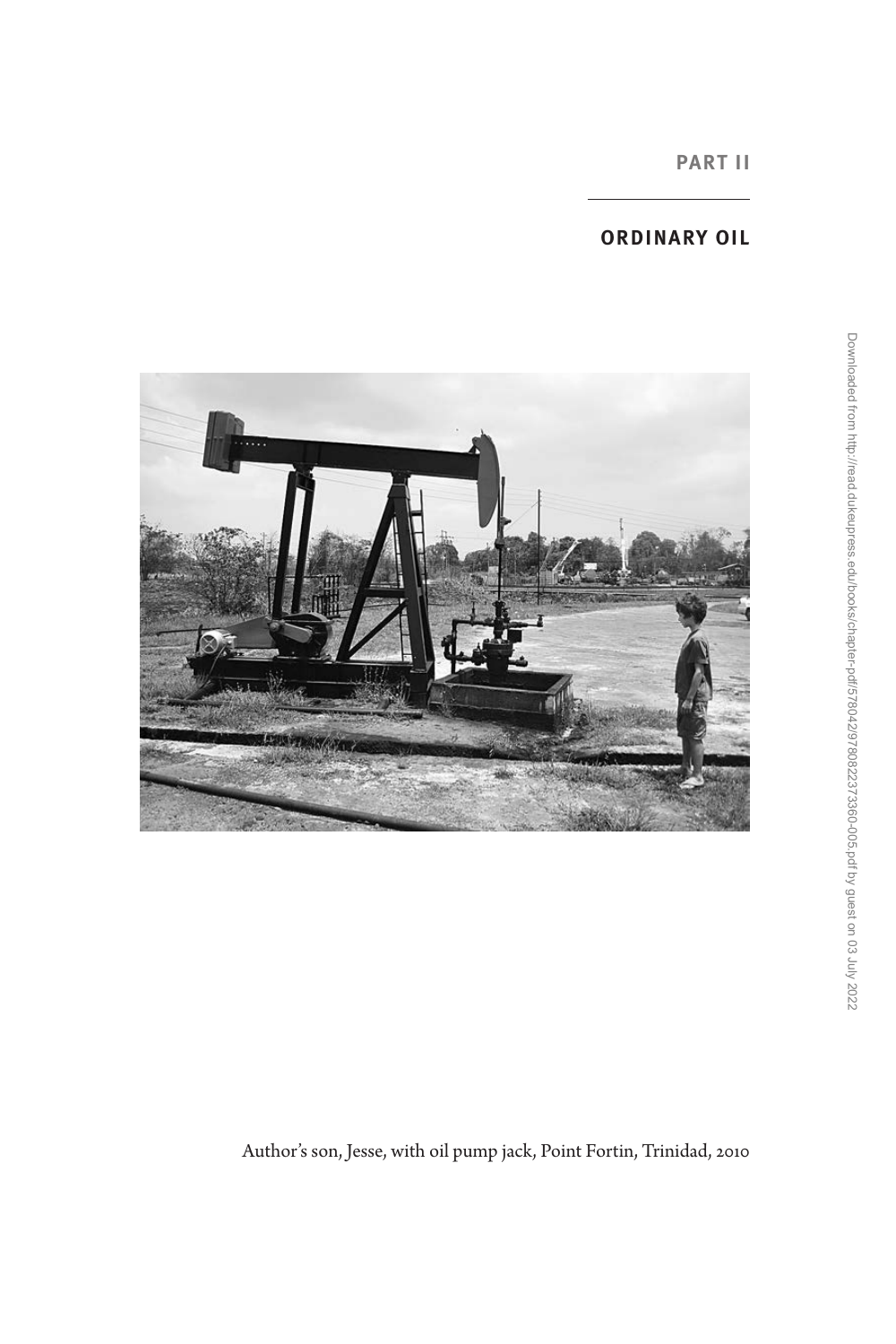## **[ORDINARY OIL](#page--1-0)**

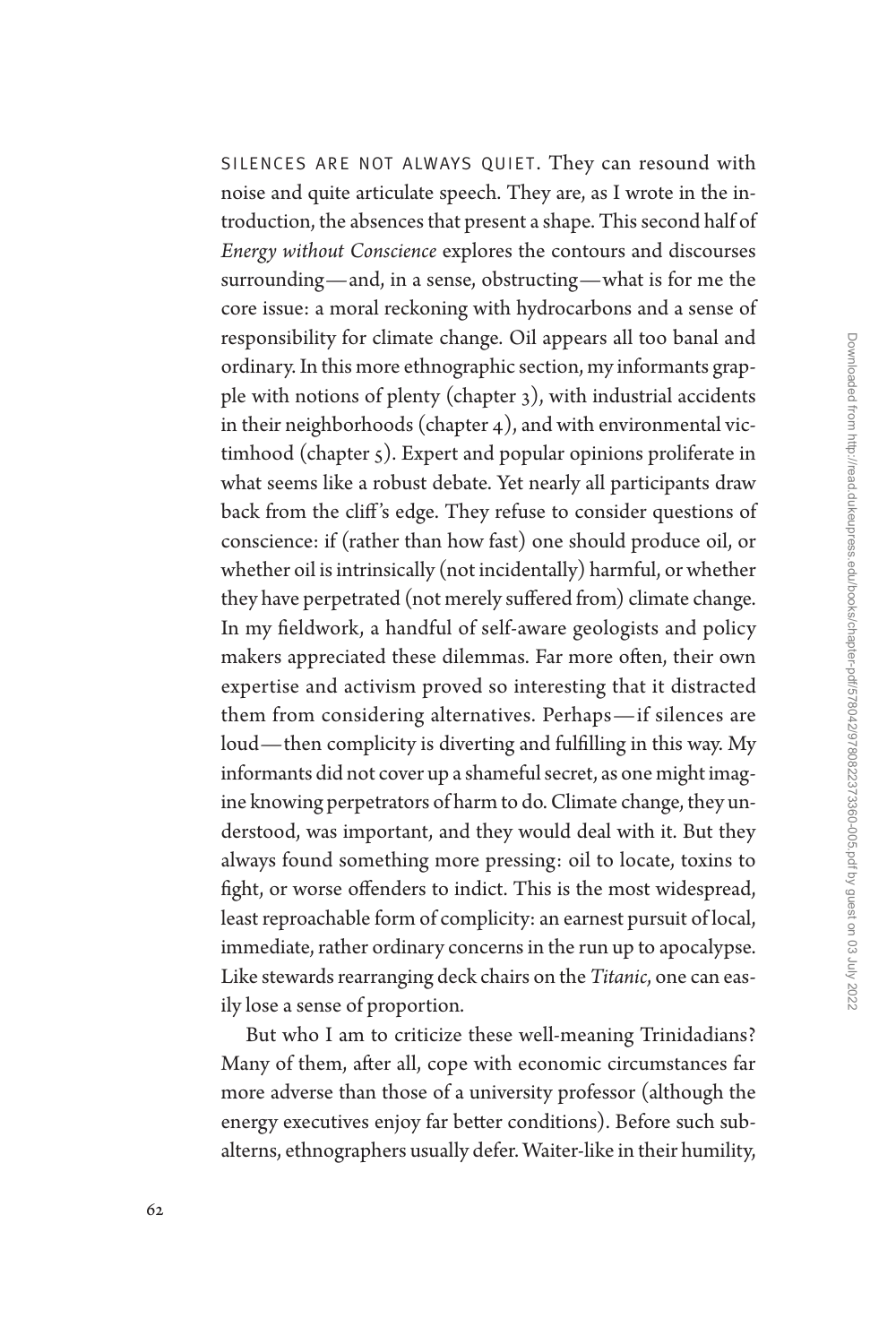SILENCES ARE NOT ALWAYS QUIET. They can resound with noise and quite articulate speech. They are, as I wrote in the in troduction, the absences that present a shape. This second half of *Energy without Conscience* explores the contours and discourses surrounding—and, in a sense, obstructing—what is for me the core issue: a moral reckoning with hydrocarbons and a sense of responsibility for climate change. Oil appears all too banal and ordinary. In this more ethnographic section, my informants grap ple with notions of plenty (chapter 3), with industrial accidents in their neighborhoods (chapter 4), and with environmental vic timhood (chapter 5). Expert and popular opinions proliferate in what seems like a robust debate. Yet nearly all participants draw back from the cliff 's edge. They refuse to consider questions of conscience: if (rather than how fast) one should produce oil, or whether oil is intrinsically (not incidentally) harmful, or whether they have perpetrated (not merely suffered from) climate change. In my fieldwork, a handful of self-aware geologists and policy makers appreciated these dilemmas. Far more often, their own expertise and activism proved so interesting that it distracted them from considering alternatives. Perhaps—if silences are loud—then complicity is diverting and fulfilling in this way. My informants did not cover up a shameful secret, as one might imag ine knowing perpetrators of harm to do. Climate change, they un derstood, was important, and they would deal with it. But they always found something more pressing: oil to locate, toxins to fight, or worse offenders to indict. This is the most widespread, least reproachable form of complicity: an earnest pursuit of local, immediate, rather ordinary concerns in the run up to apocalypse. Like stewards rearranging deck chairs on the *Titanic*, one can eas ily lose a sense of proportion.

But who I am to criticize these well-meaning Trinidadians? Many of them, after all, cope with economic circumstances far more adverse than those of a university professor (although the energy executives enjoy far better conditions). Before such sub alterns, ethnographers usually defer. Waiter-like in their humility,